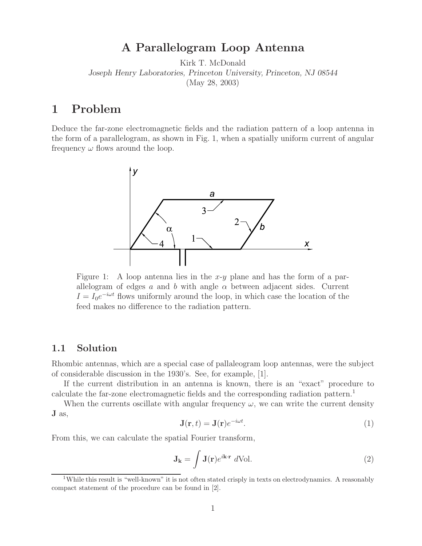# **A Parallelogram Loop Antenna**

Kirk T. McDonald *Joseph Henry Laboratories, Princeton University, Princeton, NJ 08544* (May 28, 2003)

## **1 Problem**

Deduce the far-zone electromagnetic fields and the radiation pattern of a loop antenna in the form of a parallelogram, as shown in Fig. 1, when a spatially uniform current of angular frequency  $\omega$  flows around the loop.



Figure 1: A loop antenna lies in the x-y plane and has the form of a parallelogram of edges a and b with angle  $\alpha$  between adjacent sides. Current  $I = I_0e^{-i\omega t}$  flows uniformly around the loop, in which case the location of the feed makes no difference to the radiation pattern.

#### **1.1 Solution**

Rhombic antennas, which are a special case of pallaleogram loop antennas, were the subject of considerable discussion in the 1930's. See, for example, [1].

If the current distribution in an antenna is known, there is an "exact" procedure to calculate the far-zone electromagnetic fields and the corresponding radiation pattern.<sup>1</sup>

When the currents oscillate with angular frequency  $\omega$ , we can write the current density **J** as,

$$
\mathbf{J}(\mathbf{r},t) = \mathbf{J}(\mathbf{r})e^{-i\omega t}.\tag{1}
$$

From this, we can calculate the spatial Fourier transform,

$$
\mathbf{J}_{\mathbf{k}} = \int \mathbf{J}(\mathbf{r}) e^{i\mathbf{k} \cdot \mathbf{r}} \, d\text{Vol}. \tag{2}
$$

<sup>&</sup>lt;sup>1</sup>While this result is "well-known" it is not often stated crisply in texts on electrodynamics. A reasonably compact statement of the procedure can be found in [2].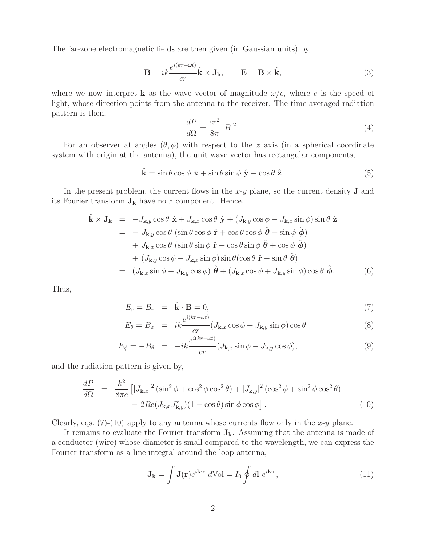The far-zone electromagnetic fields are then given (in Gaussian units) by,

$$
\mathbf{B} = ik \frac{e^{i(kr - \omega t)}}{cr} \hat{\mathbf{k}} \times \mathbf{J}_{\mathbf{k}}, \qquad \mathbf{E} = \mathbf{B} \times \hat{\mathbf{k}}, \tag{3}
$$

where we now interpret **k** as the wave vector of magnitude  $\omega/c$ , where c is the speed of light, whose direction points from the antenna to the receiver. The time-averaged radiation pattern is then,

$$
\frac{dP}{d\Omega} = \frac{cr^2}{8\pi} |B|^2.
$$
\n(4)

For an observer at angles  $(\theta, \phi)$  with respect to the z axis (in a spherical coordinate system with origin at the antenna), the unit wave vector has rectangular components,

$$
\hat{\mathbf{k}} = \sin \theta \cos \phi \ \hat{\mathbf{x}} + \sin \theta \sin \phi \ \hat{\mathbf{y}} + \cos \theta \ \hat{\mathbf{z}}.
$$
 (5)

In the present problem, the current flows in the x-y plane, so the current density **J** and its Fourier transform  $J_k$  have no z component. Hence,

$$
\hat{\mathbf{k}} \times \mathbf{J}_{\mathbf{k}} = -J_{\mathbf{k},y} \cos \theta \hat{\mathbf{x}} + J_{\mathbf{k},x} \cos \theta \hat{\mathbf{y}} + (J_{\mathbf{k},y} \cos \phi - J_{\mathbf{k},x} \sin \phi) \sin \theta \hat{\mathbf{z}} \n= -J_{\mathbf{k},y} \cos \theta (\sin \theta \cos \phi \hat{\mathbf{r}} + \cos \theta \cos \phi \hat{\mathbf{\theta}} - \sin \phi \hat{\mathbf{\phi}}) \n+ J_{\mathbf{k},x} \cos \theta (\sin \theta \sin \phi \hat{\mathbf{r}} + \cos \theta \sin \phi \hat{\mathbf{\theta}} + \cos \phi \hat{\mathbf{\phi}}) \n+ (J_{\mathbf{k},y} \cos \phi - J_{\mathbf{k},x} \sin \phi) \sin \theta (\cos \theta \hat{\mathbf{r}} - \sin \theta \hat{\mathbf{\theta}}) \n= (J_{\mathbf{k},x} \sin \phi - J_{\mathbf{k},y} \cos \phi) \hat{\mathbf{\theta}} + (J_{\mathbf{k},x} \cos \phi + J_{\mathbf{k},y} \sin \phi) \cos \theta \hat{\mathbf{\phi}}.
$$
\n(6)

Thus,

$$
E_r = B_r = \hat{\mathbf{k}} \cdot \mathbf{B} = 0,
$$
\n(7)

$$
E_{\theta} = B_{\phi} = ik \frac{e^{i(kr - \omega t)}}{cr} (J_{\mathbf{k},x} \cos \phi + J_{\mathbf{k},y} \sin \phi) \cos \theta
$$
 (8)

$$
E_{\phi} = -B_{\theta} = -ik \frac{e^{i(kr - \omega t)}}{cr} (J_{\mathbf{k},x} \sin \phi - J_{\mathbf{k},y} \cos \phi), \tag{9}
$$

and the radiation pattern is given by,

$$
\frac{dP}{d\Omega} = \frac{k^2}{8\pi c} \left[ |J_{\mathbf{k},x}|^2 (\sin^2 \phi + \cos^2 \phi \cos^2 \theta) + |J_{\mathbf{k},y}|^2 (\cos^2 \phi + \sin^2 \phi \cos^2 \theta) - 2Re(J_{\mathbf{k},x} J_{\mathbf{k},y}^*) (1 - \cos \theta) \sin \phi \cos \phi \right].
$$
\n(10)

Clearly, eqs. (7)-(10) apply to any antenna whose currents flow only in the x-y plane.

It remains to evaluate the Fourier transform **Jk**. Assuming that the antenna is made of a conductor (wire) whose diameter is small compared to the wavelength, we can express the Fourier transform as a line integral around the loop antenna,

$$
\mathbf{J}_{\mathbf{k}} = \int \mathbf{J}(\mathbf{r}) e^{i\mathbf{k} \cdot \mathbf{r}} d\text{Vol} = I_0 \oint d\mathbf{l} e^{i\mathbf{k} \cdot \mathbf{r}}, \qquad (11)
$$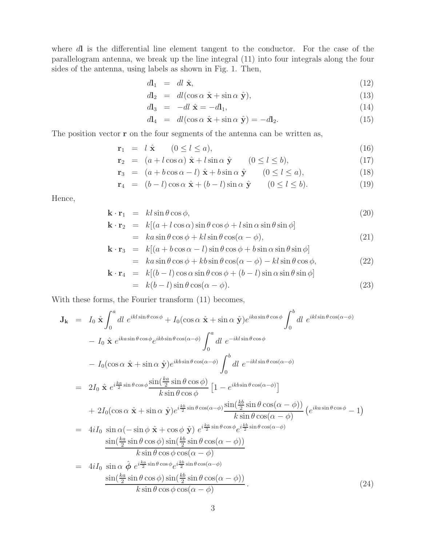where dl is the differential line element tangent to the conductor. For the case of the parallelogram antenna, we break up the line integral (11) into four integrals along the four sides of the antenna, using labels as shown in Fig. 1. Then,

$$
d\mathbf{l}_1 = dl \hat{\mathbf{x}},\tag{12}
$$

$$
d\mathbf{l}_2 = dl(\cos\alpha \hat{\mathbf{x}} + \sin\alpha \hat{\mathbf{y}}),\tag{13}
$$

$$
d\mathbf{l}_3 = -dl \ \hat{\mathbf{x}} = -d\mathbf{l}_1,\tag{14}
$$

$$
d\mathbf{l}_4 = dl(\cos\alpha \hat{\mathbf{x}} + \sin\alpha \hat{\mathbf{y}}) = -d\mathbf{l}_2.
$$
 (15)

The position vector **r** on the four segments of the antenna can be written as,

$$
\mathbf{r}_1 = l \hat{\mathbf{x}} \qquad (0 \le l \le a), \tag{16}
$$

$$
\mathbf{r}_2 = (a + l\cos\alpha)\hat{\mathbf{x}} + l\sin\alpha\hat{\mathbf{y}} \qquad (0 \le l \le b), \tag{17}
$$

$$
\mathbf{r}_3 = (a + b\cos\alpha - l)\hat{\mathbf{x}} + b\sin\alpha\hat{\mathbf{y}} \qquad (0 \le l \le a), \tag{18}
$$

$$
\mathbf{r}_4 = (b-l)\cos\alpha \ \hat{\mathbf{x}} + (b-l)\sin\alpha \ \hat{\mathbf{y}} \qquad (0 \le l \le b). \tag{19}
$$

Hence,

$$
\mathbf{k} \cdot \mathbf{r}_1 = kl \sin \theta \cos \phi, \tag{20}
$$

$$
\mathbf{k} \cdot \mathbf{r}_2 = k[(a + l \cos \alpha) \sin \theta \cos \phi + l \sin \alpha \sin \theta \sin \phi]
$$
  
=  $ka \sin \theta \cos \phi + kl \sin \theta \cos(\alpha - \phi),$  (21)

$$
\mathbf{k} \cdot \mathbf{r}_3 = k[(a + b \cos \alpha - l)\sin \theta \cos \phi + b \sin \alpha \sin \theta \sin \phi]
$$
  
=  $ka \sin \theta \cos \phi + kb \sin \theta \cos(\alpha - \phi) - kl \sin \theta \cos \phi,$  (22)

$$
\mathbf{k} \cdot \mathbf{r}_4 = k[(b-l)\cos\alpha\sin\theta\cos\phi + (b-l)\sin\alpha\sin\theta\sin\phi]
$$
  
=  $k(b-l)\sin\theta\cos(\alpha-\phi)$ . (23)

With these forms, the Fourier transform (11) becomes,

$$
\mathbf{J}_{\mathbf{k}} = I_0 \hat{\mathbf{x}} \int_0^a dl \ e^{ikl\sin\theta\cos\phi} + I_0(\cos\alpha\hat{\mathbf{x}} + \sin\alpha\hat{\mathbf{y}}) e^{ika\sin\theta\cos\phi} \int_0^b dl \ e^{ikl\sin\theta\cos(\alpha-\phi)}
$$
  
\n
$$
- I_0 \hat{\mathbf{x}} e^{ika\sin\theta\cos\phi} e^{ikb\sin\theta\cos(\alpha-\phi)} \int_0^a dl \ e^{-ikl\sin\theta\cos\phi}
$$
  
\n
$$
- I_0(\cos\alpha\hat{\mathbf{x}} + \sin\alpha\hat{\mathbf{y}}) e^{ikb\sin\theta\cos(\alpha-\phi)} \int_0^b dl \ e^{-ikl\sin\theta\cos(\alpha-\phi)}
$$
  
\n
$$
= 2I_0 \hat{\mathbf{x}} e^{i\frac{ka}{2}\sin\theta\cos\phi} \frac{\sin(\frac{ka}{2}\sin\theta\cos\phi)}{k\sin\theta\cos\phi} \left[1 - e^{ikb\sin\theta\cos(\alpha-\phi)}\right]
$$
  
\n
$$
+ 2I_0(\cos\alpha\hat{\mathbf{x}} + \sin\alpha\hat{\mathbf{y}}) e^{i\frac{kb}{2}\sin\theta\cos(\alpha-\phi)} \frac{\sin(\frac{kb}{2}\sin\theta\cos(\alpha-\phi))}{k\sin\theta\cos(\alpha-\phi)} \left(e^{ika\sin\theta\cos\phi} - 1\right)
$$
  
\n
$$
= 4iI_0 \sin\alpha(-\sin\phi\hat{\mathbf{x}} + \cos\phi\hat{\mathbf{y}}) e^{i\frac{ka}{2}\sin\theta\cos(\alpha-\phi)} \frac{\sin(\frac{kb}{2}\sin\theta\cos(\alpha-\phi))}{k\sin\theta\cos(\alpha-\phi)}
$$
  
\n
$$
= 4iI_0 \sin\alpha\hat{\phi} e^{i\frac{ka}{2}\sin\theta\cos\phi} e^{i\frac{kb}{2}\sin\theta\cos(\alpha-\phi)}
$$
  
\n
$$
= 4iI_0 \sin\alpha\hat{\phi} e^{i\frac{ka}{2}\sin\theta\cos\phi} e^{i\frac{kb}{2}\sin\theta\cos(\alpha-\phi)}
$$
  
\n
$$
\frac{\sin(\frac{ka}{2}\sin\theta\cos\phi)\sin(\frac{kb}{2}\sin\theta\cos(\alpha-\phi))}{k\sin\theta\cos\phi\cos
$$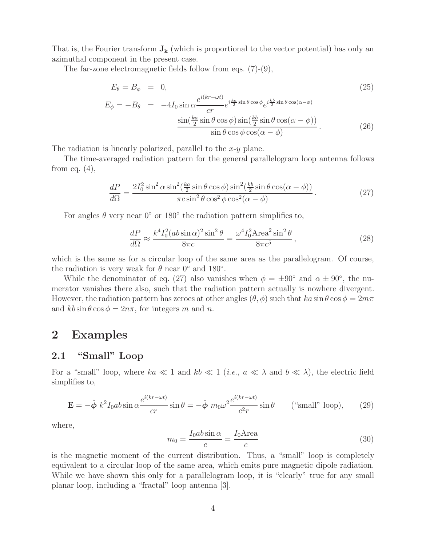That is, the Fourier transform  $J_k$  (which is proportional to the vector potential) has only an azimuthal component in the present case.

The far-zone electromagnetic fields follow from eqs. (7)-(9),

$$
E_{\theta} = B_{\phi} = 0,
$$
\n
$$
E_{\phi} = -B_{\theta} = -4I_0 \sin \alpha \frac{e^{i(kr - \omega t)}}{cr} e^{i\frac{k\alpha}{2}\sin\theta\cos\phi} e^{i\frac{k b}{2}\sin\theta\cos(\alpha - \phi)}
$$
\n
$$
\frac{\sin(\frac{k\alpha}{2}\sin\theta\cos\phi)\sin(\frac{k b}{2}\sin\theta\cos(\alpha - \phi))}{\sin\theta\cos\phi\cos(\alpha - \phi)}.
$$
\n(26)

The radiation is linearly polarized, parallel to the  $x-y$  plane.

The time-averaged radiation pattern for the general parallelogram loop antenna follows from eq.  $(4)$ ,

$$
\frac{dP}{d\Omega} = \frac{2I_0^2 \sin^2 \alpha \sin^2(\frac{ka}{2} \sin \theta \cos \phi) \sin^2(\frac{kb}{2} \sin \theta \cos(\alpha - \phi))}{\pi c \sin^2 \theta \cos^2 \phi \cos^2(\alpha - \phi)}.
$$
(27)

For angles  $\theta$  very near  $0^{\circ}$  or 180 $^{\circ}$  the radiation pattern simplifies to,

$$
\frac{dP}{d\Omega} \approx \frac{k^4 I_0^2 (ab \sin \alpha)^2 \sin^2 \theta}{8\pi c} = \frac{\omega^4 I_0^2 \text{Area}^2 \sin^2 \theta}{8\pi c^5},\tag{28}
$$

which is the same as for a circular loop of the same area as the parallelogram. Of course, the radiation is very weak for  $\theta$  near  $0^{\circ}$  and  $180^{\circ}$ .

While the denominator of eq. (27) also vanishes when  $\phi = \pm 90^{\circ}$  and  $\alpha \pm 90^{\circ}$ , the numerator vanishes there also, such that the radiation pattern actually is nowhere divergent. However, the radiation pattern has zeroes at other angles  $(\theta, \phi)$  such that  $ka \sin \theta \cos \phi = 2m\pi$ and  $kb \sin \theta \cos \phi = 2n\pi$ , for integers m and n.

### **2 Examples**

### **2.1 "Small" Loop**

For a "small" loop, where  $ka \ll 1$  and  $kb \ll 1$  (*i.e.*,  $a \ll \lambda$  and  $b \ll \lambda$ ), the electric field simplifies to,

$$
\mathbf{E} = -\hat{\boldsymbol{\phi}} k^2 I_0 a b \sin \alpha \frac{e^{i(kr - \omega t)}}{cr} \sin \theta = -\hat{\boldsymbol{\phi}} m_0 \omega^2 \frac{e^{i(kr - \omega t)}}{c^2 r} \sin \theta \qquad \text{(``small'' loop)},\qquad(29)
$$

where,

$$
m_0 = \frac{I_0 ab \sin \alpha}{c} = \frac{I_0 \text{Area}}{c} \tag{30}
$$

is the magnetic moment of the current distribution. Thus, a "small" loop is completely equivalent to a circular loop of the same area, which emits pure magnetic dipole radiation. While we have shown this only for a parallelogram loop, it is "clearly" true for any small planar loop, including a "fractal" loop antenna [3].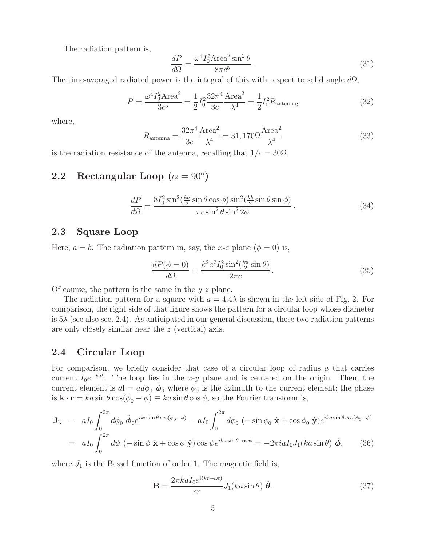The radiation pattern is,

$$
\frac{dP}{d\Omega} = \frac{\omega^4 I_0^2 \text{Area}^2 \sin^2 \theta}{8\pi c^5}.
$$
\n(31)

The time-averaged radiated power is the integral of this with respect to solid angle  $d\Omega$ ,

$$
P = \frac{\omega^4 I_0^2 \text{Area}^2}{3c^5} = \frac{1}{2} I_0^2 \frac{32\pi^4}{3c} \frac{\text{Area}^2}{\lambda^4} = \frac{1}{2} I_0^2 R_{\text{antenna}},\tag{32}
$$

where,

$$
R_{\text{antenna}} = \frac{32\pi^4 \text{Area}^2}{3c} = 31,170\Omega \frac{\text{Area}^2}{\lambda^4}
$$
 (33)

is the radiation resistance of the antenna, recalling that  $1/c = 30\Omega$ .

### **2.2** Rectangular Loop  $(\alpha = 90^{\circ})$

$$
\frac{dP}{d\Omega} = \frac{8I_0^2 \sin^2(\frac{ka}{2} \sin \theta \cos \phi) \sin^2(\frac{kb}{2} \sin \theta \sin \phi)}{\pi c \sin^2 \theta \sin^2 2\phi}.
$$
(34)

#### **2.3 Square Loop**

Here,  $a = b$ . The radiation pattern in, say, the x-z plane  $(\phi = 0)$  is,

$$
\frac{dP(\phi=0)}{d\Omega} = \frac{k^2 a^2 I_0^2 \sin^2(\frac{ka}{2} \sin \theta)}{2\pi c}.
$$
\n(35)

Of course, the pattern is the same in the  $y-z$  plane.

The radiation pattern for a square with  $a = 4.4\lambda$  is shown in the left side of Fig. 2. For comparison, the right side of that figure shows the pattern for a circular loop whose diameter is  $5\lambda$  (see also sec. 2.4). As anticipated in our general discussion, these two radiation patterns are only closely similar near the z (vertical) axis.

#### **2.4 Circular Loop**

For comparison, we briefly consider that case of a circular loop of radius a that carries current  $I_0e^{-i\omega t}$ . The loop lies in the x-y plane and is centered on the origin. Then, the current element is  $d\mathbf{l} = ad\phi_0 \, \hat{\phi}_0$  where  $\phi_0$  is the azimuth to the current element; the phase is **k** · **r** =  $ka \sin \theta \cos(\phi_0 - \phi) \equiv ka \sin \theta \cos \psi$ , so the Fourier transform is,

$$
\mathbf{J}_{\mathbf{k}} = aI_0 \int_0^{2\pi} d\phi_0 \, \hat{\boldsymbol{\phi}}_0 e^{ik a \sin \theta \cos(\phi_0 - \phi)} = aI_0 \int_0^{2\pi} d\phi_0 \, (-\sin \phi_0 \, \hat{\mathbf{x}} + \cos \phi_0 \, \hat{\mathbf{y}}) e^{ik a \sin \theta \cos(\phi_0 - \phi)}
$$
  
=  $aI_0 \int_0^{2\pi} d\psi \, (-\sin \phi \, \hat{\mathbf{x}} + \cos \phi \, \hat{\mathbf{y}}) \cos \psi e^{ik a \sin \theta \cos \psi} = -2\pi i a I_0 J_1 (ka \sin \theta) \, \hat{\boldsymbol{\phi}}, \qquad (36)$ 

where  $J_1$  is the Bessel function of order 1. The magnetic field is,

$$
\mathbf{B} = \frac{2\pi ka I_0 e^{i(kr - \omega t)}}{cr} J_1(ka\sin\theta) \hat{\boldsymbol{\theta}}.
$$
 (37)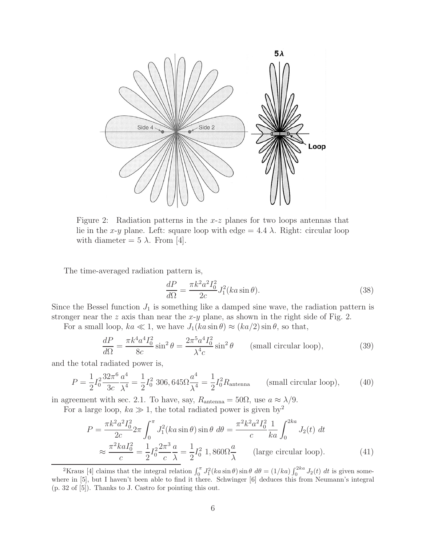

Figure 2: Radiation patterns in the  $x-z$  planes for two loops antennas that lie in the x-y plane. Left: square loop with edge  $= 4.4 \lambda$ . Right: circular loop with diameter =  $5 \lambda$ . From [4].

The time-averaged radiation pattern is,

$$
\frac{dP}{d\Omega} = \frac{\pi k^2 a^2 I_0^2}{2c} J_1^2(ka \sin \theta). \tag{38}
$$

Since the Bessel function  $J_1$  is something like a damped sine wave, the radiation pattern is stronger near the z axis than near the  $x-y$  plane, as shown in the right side of Fig. 2.

For a small loop,  $ka \ll 1$ , we have  $J_1(ka \sin \theta) \approx (ka/2) \sin \theta$ , so that,

$$
\frac{dP}{d\Omega} = \frac{\pi k^4 a^4 I_0^2}{8c} \sin^2 \theta = \frac{2\pi^5 a^4 I_0^2}{\lambda^4 c} \sin^2 \theta \qquad \text{(small circular loop)},\tag{39}
$$

and the total radiated power is,

$$
P = \frac{1}{2} I_0^2 \frac{32\pi^6}{3c} \frac{a^4}{\lambda^4} = \frac{1}{2} I_0^2 \ 306,645 \Omega \frac{a^4}{\lambda^4} = \frac{1}{2} I_0^2 R_{\text{antenna}} \qquad \text{(small circular loop)},\tag{40}
$$

in agreement with sec. 2.1. To have, say,  $R_{\text{antenna}} = 50\Omega$ , use  $a \approx \lambda/9$ .

For a large loop,  $ka \gg 1$ , the total radiated power is given by<sup>2</sup>

$$
P = \frac{\pi k^2 a^2 I_0^2}{2c} 2\pi \int_0^\pi J_1^2(ka \sin \theta) \sin \theta \ d\theta = \frac{\pi^2 k^2 a^2 I_0^2}{c} \frac{1}{ka} \int_0^{2ka} J_2(t) \ dt
$$
  

$$
\approx \frac{\pi^2 ka I_0^2}{c} = \frac{1}{2} I_0^2 \frac{2\pi^3 a}{c} = \frac{1}{2} I_0^2 \ 1,860 \Omega \frac{a}{\lambda} \qquad \text{(large circular loop)}.
$$
 (41)

<sup>&</sup>lt;sup>2</sup>Kraus [4] claims that the integral relation  $\int_0^{\pi} J_1^2(ka \sin \theta) \sin \theta \ d\theta = (1/ka) \int_0^{2ka} J_2(t) dt$  is given somewhere in [5], but I haven't been able to find it there. Schwinger [6] deduces this from Neumann's integral (p. 32 of [5]). Thanks to J. Castro for pointing this out.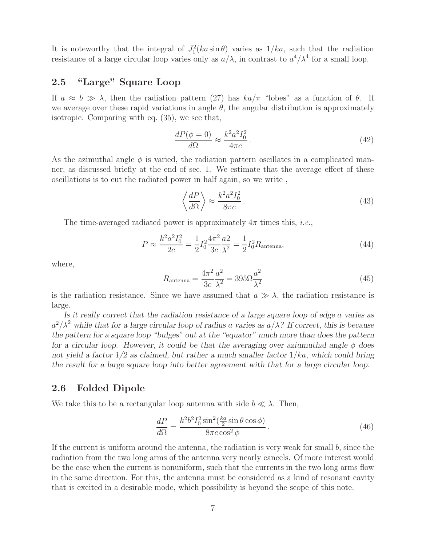It is noteworthy that the integral of  $J_1^2(ka\sin\theta)$  varies as  $1/ka$ , such that the radiation resistance of a large circular loop varies only as  $a/\lambda$ , in contrast to  $a^4/\lambda^4$  for a small loop.

### **2.5 "Large" Square Loop**

If  $a \approx b \gg \lambda$ , then the radiation pattern (27) has  $ka/\pi$  "lobes" as a function of  $\theta$ . If we average over these rapid variations in angle  $\theta$ , the angular distribution is approximately isotropic. Comparing with eq. (35), we see that,

$$
\frac{dP(\phi=0)}{d\Omega} \approx \frac{k^2 a^2 I_0^2}{4\pi c} \,. \tag{42}
$$

As the azimuthal angle  $\phi$  is varied, the radiation pattern oscillates in a complicated manner, as discussed briefly at the end of sec. 1. We estimate that the average effect of these oscillations is to cut the radiated power in half again, so we write ,

$$
\left\langle \frac{dP}{d\Omega} \right\rangle \approx \frac{k^2 a^2 I_0^2}{8\pi c} \,. \tag{43}
$$

The time-averaged radiated power is approximately  $4\pi$  times this, *i.e.*,

$$
P \approx \frac{k^2 a^2 I_0^2}{2c} = \frac{1}{2} I_0^2 \frac{4\pi^2 a^2}{3c} \frac{a^2}{\lambda^2} = \frac{1}{2} I_0^2 R_{\text{antenna}},\tag{44}
$$

where,

$$
R_{\text{antenna}} = \frac{4\pi^2}{3c} \frac{a^2}{\lambda^2} = 395\Omega \frac{a^2}{\lambda^2}
$$
 (45)

is the radiation resistance. Since we have assumed that  $a \gg \lambda$ , the radiation resistance is large.

*Is it really correct that the radiation resistance of a large square loop of edge* a *varies as*  $a^2/\lambda^2$  while that for a large circular loop of radius a varies as  $a/\lambda$ ? If correct, this is because *the pattern for a square loop "bulges" out at the "equator" much more than does the pattern for a circular loop. However, it could be that the averaging over aziumuthal angle*  $\phi$  *does not yield a factor 1/2 as claimed, but rather a much smaller factor* 1/ka*, which could bring the result for a large square loop into better agreement with that for a large circular loop.*

#### **2.6 Folded Dipole**

We take this to be a rectangular loop antenna with side  $b \ll \lambda$ . Then,

$$
\frac{dP}{d\Omega} = \frac{k^2 b^2 I_0^2 \sin^2(\frac{ka}{2} \sin \theta \cos \phi)}{8\pi c \cos^2 \phi}.
$$
\n(46)

If the current is uniform around the antenna, the radiation is very weak for small b, since the radiation from the two long arms of the antenna very nearly cancels. Of more interest would be the case when the current is nonuniform, such that the currents in the two long arms flow in the same direction. For this, the antenna must be considered as a kind of resonant cavity that is excited in a desirable mode, which possibility is beyond the scope of this note.